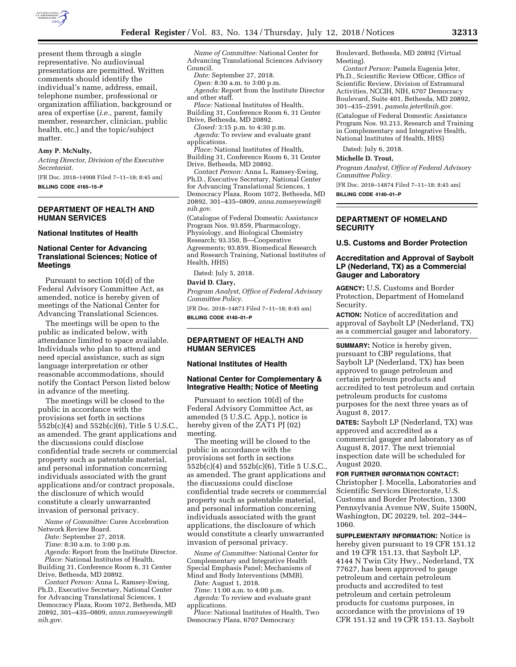

present them through a single representative. No audiovisual presentations are permitted. Written comments should identify the individual's name, address, email, telephone number, professional or organization affiliation, background or area of expertise (*i.e.,* parent, family member, researcher, clinician, public health, etc.) and the topic/subject matter.

## **Amy P. McNulty,**

*Acting Director, Division of the Executive Secretariat.* 

[FR Doc. 2018–14908 Filed 7–11–18; 8:45 am] **BILLING CODE 4165–15–P** 

# **DEPARTMENT OF HEALTH AND HUMAN SERVICES**

#### **National Institutes of Health**

## **National Center for Advancing Translational Sciences; Notice of Meetings**

Pursuant to section 10(d) of the Federal Advisory Committee Act, as amended, notice is hereby given of meetings of the National Center for Advancing Translational Sciences.

The meetings will be open to the public as indicated below, with attendance limited to space available. Individuals who plan to attend and need special assistance, such as sign language interpretation or other reasonable accommodations, should notify the Contact Person listed below in advance of the meeting.

The meetings will be closed to the public in accordance with the provisions set forth in sections 552b(c)(4) and 552b(c)(6), Title 5 U.S.C., as amended. The grant applications and the discussions could disclose confidential trade secrets or commercial property such as patentable material, and personal information concerning individuals associated with the grant applications and/or contract proposals, the disclosure of which would constitute a clearly unwarranted invasion of personal privacy.

*Name of Committee:* Cures Acceleration Network Review Board.

*Date:* September 27, 2018.

*Time:* 8:30 a.m. to 3:00 p.m.

*Agenda:* Report from the Institute Director. *Place:* National Institutes of Health, Building 31, Conference Room 6, 31 Center

Drive, Bethesda, MD 20892. *Contact Person:* Anna L. Ramsey-Ewing, Ph.D., Executive Secretary, National Center for Advancing Translational Sciences, 1

Democracy Plaza, Room 1072, Bethesda, MD 20892, 301–435–0809, *[annn.ramseyewing@](mailto:annn.ramseyewing@nih.gov) [nih.gov](mailto:annn.ramseyewing@nih.gov)*.

*Name of Committee:* National Center for Advancing Translational Sciences Advisory Council.

*Date:* September 27, 2018.

*Open:* 8:30 a.m. to 3:00 p.m.

*Agenda:* Report from the Institute Director and other staff. *Place:* National Institutes of Health,

Building 31, Conference Room 6, 31 Center Drive, Bethesda, MD 20892.

*Closed:* 3:15 p.m. to 4:30 p.m. *Agenda:* To review and evaluate grant applications.

*Place:* National Institutes of Health, Building 31, Conference Room 6, 31 Center Drive, Bethesda, MD 20892.

*Contact Person:* Anna L. Ramsey-Ewing, Ph.D., Executive Secretary, National Center for Advancing Translational Sciences, 1 Democracy Plaza, Room 1072, Bethesda, MD 20892, 301–435–0809, *[anna.ramseyewing@](mailto:anna.ramseyewing@nih.gov) [nih.gov](mailto:anna.ramseyewing@nih.gov)*.

(Catalogue of Federal Domestic Assistance Program Nos. 93.859, Pharmacology, Physiology, and Biological Chemistry Research; 93.350, B—Cooperative Agreements; 93.859, Biomedical Research and Research Training, National Institutes of Health, HHS)

Dated: July 5, 2018.

### **David D. Clary,**

*Program Analyst, Office of Federal Advisory Committee Policy.* 

[FR Doc. 2018–14873 Filed 7–11–18; 8:45 am] **BILLING CODE 4140–01–P** 

## **DEPARTMENT OF HEALTH AND HUMAN SERVICES**

### **National Institutes of Health**

### **National Center for Complementary & Integrative Health; Notice of Meeting**

Pursuant to section 10(d) of the Federal Advisory Committee Act, as amended (5 U.S.C. App.), notice is hereby given of the ZAT1 PJ (02) meeting.

The meeting will be closed to the public in accordance with the provisions set forth in sections 552b(c)(4) and 552b(c)(6), Title 5 U.S.C., as amended. The grant applications and the discussions could disclose confidential trade secrets or commercial property such as patentable material, and personal information concerning individuals associated with the grant applications, the disclosure of which would constitute a clearly unwarranted invasion of personal privacy.

*Name of Committee:* National Center for Complementary and Integrative Health Special Emphasis Panel; Mechanisms of Mind and Body Interventions (MMB).

*Date:* August 1, 2018.

*Time:* 11:00 a.m. to 4:00 p.m.

*Agenda:* To review and evaluate grant applications.

*Place:* National Institutes of Health, Two Democracy Plaza, 6707 Democracy

Boulevard, Bethesda, MD 20892 (Virtual Meeting).

*Contact Person:* Pamela Eugenia Jeter, Ph.D., Scientific Review Officer, Office of Scientific Review, Division of Extramural Activities, NCCIH, NIH, 6707 Democracy Boulevard, Suite 401, Bethesda, MD 20892, 301–435–2591, *[pamela.jeter@nih.gov](mailto:pamela.jeter@nih.gov)*.

(Catalogue of Federal Domestic Assistance Program Nos. 93.213, Research and Training in Complementary and Integrative Health, National Institutes of Health, HHS)

Dated: July 6, 2018.

#### **Michelle D. Trout,**

*Program Analyst, Office of Federal Advisory Committee Policy.* 

[FR Doc. 2018–14874 Filed 7–11–18; 8:45 am]

**BILLING CODE 4140–01–P** 

## **DEPARTMENT OF HOMELAND SECURITY**

### **U.S. Customs and Border Protection**

# **Accreditation and Approval of Saybolt LP (Nederland, TX) as a Commercial Gauger and Laboratory**

**AGENCY:** U.S. Customs and Border Protection, Department of Homeland Security.

**ACTION:** Notice of accreditation and approval of Saybolt LP (Nederland, TX) as a commercial gauger and laboratory.

**SUMMARY:** Notice is hereby given, pursuant to CBP regulations, that Saybolt LP (Nederland, TX) has been approved to gauge petroleum and certain petroleum products and accredited to test petroleum and certain petroleum products for customs purposes for the next three years as of August 8, 2017.

**DATES:** Saybolt LP (Nederland, TX) was approved and accredited as a commercial gauger and laboratory as of August 8, 2017. The next triennial inspection date will be scheduled for August 2020.

**FOR FURTHER INFORMATION CONTACT:**  Christopher J. Mocella, Laboratories and Scientific Services Directorate, U.S. Customs and Border Protection, 1300 Pennsylvania Avenue NW, Suite 1500N, Washington, DC 20229, tel. 202–344– 1060.

**SUPPLEMENTARY INFORMATION:** Notice is hereby given pursuant to 19 CFR 151.12 and 19 CFR 151.13, that Saybolt LP, 4144 N Twin City Hwy., Nederland, TX 77627, has been approved to gauge petroleum and certain petroleum products and accredited to test petroleum and certain petroleum products for customs purposes, in accordance with the provisions of 19 CFR 151.12 and 19 CFR 151.13. Saybolt